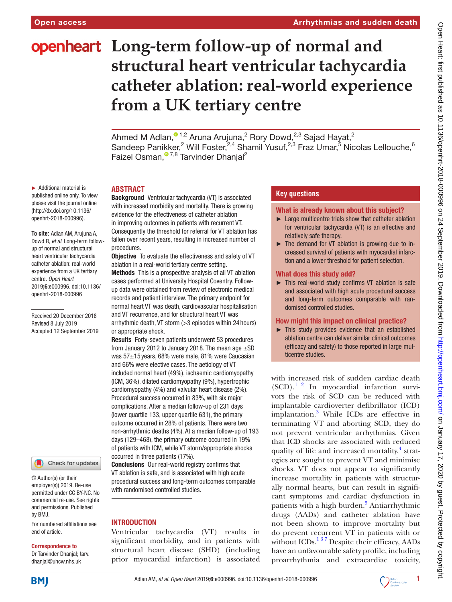# **openheart** Long-term follow-up of normal and **structural heart ventricular tachycardia catheter ablation: real-world experience from a UK tertiary centre**

Ahmed M Adlan, $^{\circ}$  1,2 Aruna Arujuna,<sup>2</sup> Rory Dowd,<sup>2,3</sup> Sajad Hayat,<sup>2</sup> Sandeep Panikker,<sup>2</sup> Will Foster,<sup>2,4</sup> Shamil Yusuf,<sup>2,3</sup> Fraz Umar,<sup>5</sup> Nicolas Lellouche,<sup>6</sup> Faizel Osman,<sup>07,8</sup> Tarvinder Dhanjal<sup>2</sup>

► Additional material is published online only. To view please visit the journal online (http://dx.doi.org/10.1136/ openhrt-2018-000996).

**To cite:** Adlan AM, Arujuna A, Dowd R*, et al*. Long-term followup of normal and structural heart ventricular tachycardia catheter ablation: real-world experience from a UK tertiary centre*. Open Heart* 2019;6:e000996. doi:10.1136/ openhrt-2018-000996

Received 20 December 2018 Revised 8 July 2019 Accepted 12 September 2019

Check for updates

© Author(s) (or their employer(s)) 2019. Re-use permitted under CC BY-NC. No commercial re-use. See rights and permissions. Published by BMJ.

For numbered affiliations see end of article.

#### Correspondence to

Dr Tarvinder Dhanjal; tarv. dhanjal@uhcw.nhs.uk

**ABSTRACT**

Background Ventricular tachycardia (VT) is associated with increased morbidity and mortality. There is growing evidence for the effectiveness of catheter ablation in improving outcomes in patients with recurrent VT. Consequently the threshold for referral for VT ablation has fallen over recent years, resulting in increased number of procedures.

**Objective** To evaluate the effectiveness and safety of VT ablation in a real-world tertiary centre setting.

Methods This is a prospective analysis of all VT ablation cases performed at University Hospital Coventry. Followup data were obtained from review of electronic medical records and patient interview. The primary endpoint for normal heart VT was death, cardiovascular hospitalisation and VT recurrence, and for structural heart VT was arrhythmic death, VT storm (>3 episodes within 24 hours) or appropriate shock.

Results Forty-seven patients underwent 53 procedures from January 2012 to January 2018. The mean age  $\pm$ SD was 57±15 years, 68% were male, 81% were Caucasian and 66% were elective cases. The aetiology of VT included normal heart (49%), ischaemic cardiomyopathy (ICM, 36%), dilated cardiomyopathy (9%), hypertrophic cardiomyopathy (4%) and valvular heart disease (2%). Procedural success occurred in 83%, with six major complications. After a median follow-up of 231 days (lower quartile 133, upper quartile 631), the primary outcome occurred in 28% of patients. There were two non-arrhythmic deaths (4%). At a median follow-up of 193 days (129–468), the primary outcome occurred in 19% of patients with ICM, while VT storm/appropriate shocks occurred in three patients (17%).

Conclusions Our real-world registry confirms that VT ablation is safe, and is associated with high acute procedural success and long-term outcomes comparable with randomised controlled studies.

## **INTRODUCTION**

Ventricular tachycardia (VT) results in significant morbidity, and in patients with structural heart disease (SHD) (including prior myocardial infarction) is associated

# **Key questions**

What is already known about this subject?

- ► Large multicentre trials show that catheter ablation for ventricular tachycardia (VT) is an effective and relatively safe therapy.
- ► The demand for VT ablation is growing due to increased survival of patients with myocardial infarction and a lower threshold for patient selection.

#### What does this study add?

► This real-world study confirms VT ablation is safe and associated with high acute procedural success and long-term outcomes comparable with randomised controlled studies.

# How might this impact on clinical practice?

► This study provides evidence that an established ablation centre can deliver similar clinical outcomes (efficacy and safety) to those reported in large multicentre studies.

with increased risk of sudden cardiac death  $(SCD)$ .<sup>1</sup> <sup>2</sup> In myocardial infarction survivors the risk of SCD can be reduced with implantable cardioverter defibrillator (ICD) implantation.<sup>[3](#page-6-0)</sup> While ICDs are effective in terminating VT and aborting SCD, they do not prevent ventricular arrhythmias. Given that ICD shocks are associated with reduced quality of life and increased mortality,<sup>[4](#page-6-1)</sup> strategies are sought to prevent VT and minimise shocks. VT does not appear to significantly increase mortality in patients with structurally normal hearts, but can result in significant symptoms and cardiac dysfunction in patients with a high burden.<sup>[5](#page-6-2)</sup> Antiarrhythmic drugs (AADs) and catheter ablation have not been shown to improve mortality but do prevent recurrent VT in patients with or without ICDs.<sup>167</sup> Despite their efficacy, AADs have an unfavourable safety profile, including proarrhythmia and extracardiac toxicity,



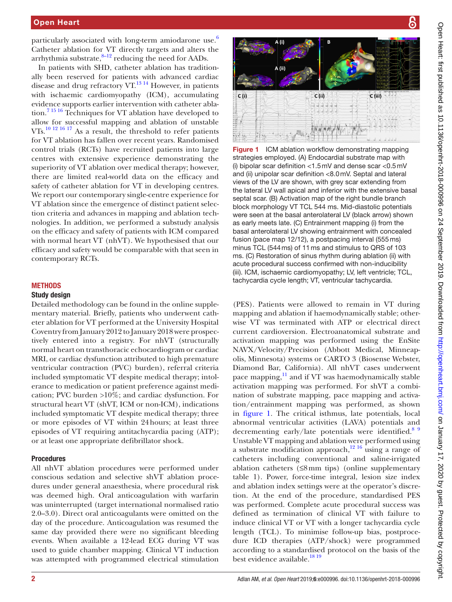particularly associated with long-term amiodarone use. $6$ Catheter ablation for VT directly targets and alters the arrhythmia substrate, $8-12$  reducing the need for AADs.

In patients with SHD, catheter ablation has traditionally been reserved for patients with advanced cardiac disease and drug refractory VT. $^{13}$  14 However, in patients with ischaemic cardiomyopathy (ICM), accumulating evidence supports earlier intervention with catheter ablation.[7 15 16](#page-6-6) Techniques for VT ablation have developed to allow for successful mapping and ablation of unstable VTs.[10 12 16 17](#page-6-7) As a result, the threshold to refer patients for VT ablation has fallen over recent years. Randomised control trials (RCTs) have recruited patients into large centres with extensive experience demonstrating the superiority of VT ablation over medical therapy; however, there are limited real-world data on the efficacy and safety of catheter ablation for VT in developing centres. We report our contemporary single-centre experience for VT ablation since the emergence of distinct patient selection criteria and advances in mapping and ablation technologies. In addition, we performed a substudy analysis on the efficacy and safety of patients with ICM compared with normal heart VT (nhVT). We hypothesised that our efficacy and safety would be comparable with that seen in contemporary RCTs.

# **METHODS**

# Study design

Detailed methodology can be found in the [online supple](https://dx.doi.org/10.1136/openhrt-2018-000996)[mentary material](https://dx.doi.org/10.1136/openhrt-2018-000996). Briefly, patients who underwent catheter ablation for VT performed at the University Hospital Coventry from January 2012 to January 2018 were prospectively entered into a registry. For nhVT (structurally normal heart on transthoracic echocardiogram or cardiac MRI, or cardiac dysfunction attributed to high premature ventricular contraction (PVC) burden), referral criteria included symptomatic VT despite medical therapy; intolerance to medication or patient preference against medication; PVC burden >10%; and cardiac dysfunction. For structural heart VT (shVT, ICM or non-ICM), indications included symptomatic VT despite medical therapy; three or more episodes of VT within 24hours; at least three episodes of VT requiring antitachycardia pacing (ATP); or at least one appropriate defibrillator shock.

## Procedures

All nhVT ablation procedures were performed under conscious sedation and selective shVT ablation procedures under general anaesthesia, where procedural risk was deemed high. Oral anticoagulation with warfarin was uninterrupted (target international normalised ratio 2.0–3.0). Direct oral anticoagulants were omitted on the day of the procedure. Anticoagulation was resumed the same day provided there were no significant bleeding events. When available a 12-lead ECG during VT was used to guide chamber mapping. Clinical VT induction was attempted with programmed electrical stimulation





<span id="page-1-0"></span>Figure 1 ICM ablation workflow demonstrating mapping strategies employed. (A) Endocardial substrate map with (i) bipolar scar definition <1.5mV and dense scar <0.5mV and (ii) unipolar scar definition <8.0mV. Septal and lateral views of the LV are shown, with grey scar extending from the lateral LV wall apical and inferior with the extensive basal septal scar. (B) Activation map of the right bundle branch block morphology VT TCL 544 ms. Mid-diastolic potentials were seen at the basal anterolateral LV (black arrow) shown as early meets late. (C) Entrainment mapping (i) from the basal anterolateral LV showing entrainment with concealed fusion (pace map 12/12), a postpacing interval (555ms) minus TCL (544ms) of 11ms and stimulus to QRS of 103 ms. (C) Restoration of sinus rhythm during ablation (ii) with acute procedural success confirmed with non-inducibility (iii). ICM, ischaemic cardiomyopathy; LV, left ventricle; TCL, tachycardia cycle length; VT, ventricular tachycardia.

(PES). Patients were allowed to remain in VT during mapping and ablation if haemodynamically stable; otherwise VT was terminated with ATP or electrical direct current cardioversion. Electroanatomical substrate and activation mapping was performed using the EnSite NAVX/Velocity/Precision (Abbott Medical, Minneapolis, Minnesota) systems or CARTO 3 (Biosense Webster, Diamond Bar, California). All nhVT cases underwent pace mapping, $11$  and if VT was haemodynamically stable activation mapping was performed. For shVT a combination of substrate mapping, pace mapping and activation/entrainment mapping was performed, as shown in [figure](#page-1-0) 1. The critical isthmus, late potentials, local abnormal ventricular activities (LAVA) potentials and decrementing early/late potentials were identified.<sup>[8 9](#page-6-4)</sup> Unstable VT mapping and ablation were performed using a substrate modification approach, $12 \times 16$  using a range of catheters including conventional and saline-irrigated ablation catheters  $(≤8mm$  tips) (online supplementary [table 1\)](https://dx.doi.org/10.1136/openhrt-2018-000996). Power, force-time integral, lesion size index and ablation index settings were at the operator's discretion. At the end of the procedure, standardised PES was performed. Complete acute procedural success was defined as termination of clinical VT with failure to induce clinical VT or VT with a longer tachycardia cycle length (TCL). To minimise follow-up bias, postprocedure ICD therapies (ATP/shock) were programmed according to a standardised protocol on the basis of the best evidence available.<sup>18 19</sup>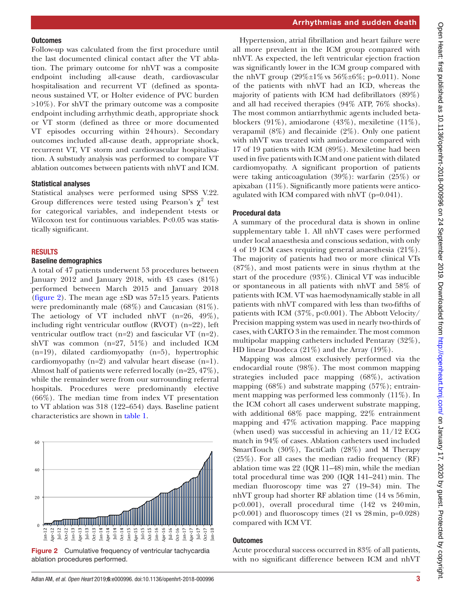#### **Outcomes**

Follow-up was calculated from the first procedure until the last documented clinical contact after the VT ablation. The primary outcome for nhVT was a composite endpoint including all-cause death, cardiovascular hospitalisation and recurrent VT (defined as spontaneous sustained VT, or Holter evidence of PVC burden >10%). For shVT the primary outcome was a composite endpoint including arrhythmic death, appropriate shock or VT storm (defined as three or more documented VT episodes occurring within 24hours). Secondary outcomes included all-cause death, appropriate shock, recurrent VT, VT storm and cardiovascular hospitalisation. A substudy analysis was performed to compare VT ablation outcomes between patients with nhVT and ICM.

#### Statistical analyses

Statistical analyses were performed using SPSS V.22. Group differences were tested using Pearson's  $\chi^2$  test for categorical variables, and independent t-tests or Wilcoxon test for continuous variables. P<0.05 was statistically significant.

#### **RESULTS**

## Baseline demographics

A total of 47 patients underwent 53 procedures between January 2012 and January 2018, with 43 cases  $(81\%)$ performed between March 2015 and January 2018 ([figure](#page-2-0) 2). The mean age  $\pm SD$  was 57 $\pm 15$  years. Patients were predominantly male (68%) and Caucasian (81%). The aetiology of VT included nhVT (n=26, 49%), including right ventricular outflow (RVOT) (n=22), left ventricular outflow tract  $(n=2)$  and fascicular VT  $(n=2)$ . shVT was common (n=27, 51%) and included ICM (n=19), dilated cardiomyopathy (n=5), hypertrophic cardiomyopathy (n=2) and valvular heart disease (n=1). Almost half of patients were referred locally (n=25, 47%), while the remainder were from our surrounding referral hospitals. Procedures were predominantly elective (66%). The median time from index VT presentation to VT ablation was 318 (122–654) days. Baseline patient characteristics are shown in [table](#page-3-0) 1.



<span id="page-2-0"></span>Figure 2 Cumulative frequency of ventricular tachycardia ablation procedures performed.

Hypertension, atrial fibrillation and heart failure were all more prevalent in the ICM group compared with nhVT. As expected, the left ventricular ejection fraction was significantly lower in the ICM group compared with the nhVT group  $(29\% \pm 1\% \text{ vs } 56\% \pm 6\% \text{; } p=0.011)$ . None of the patients with nhVT had an ICD, whereas the majority of patients with ICM had defibrillators (89%) and all had received therapies (94% ATP, 76% shocks). The most common antiarrhythmic agents included betablockers (91%), amiodarone (43%), mexiletine (11%), verapamil  $(8\%)$  and flecainide  $(2\%)$ . Only one patient with nhVT was treated with amiodarone compared with 17 of 19 patients with ICM (89%). Mexiletine had been used in five patients with ICM and one patient with dilated cardiomyopathy. A significant proportion of patients were taking anticoagulation (39%): warfarin (25%) or apixaban (11%). Significantly more patients were anticoagulated with ICM compared with nhVT (p=0.041).

# Procedural data

A summary of the procedural data is shown in [online](https://dx.doi.org/10.1136/openhrt-2018-000996)  [supplementary table 1.](https://dx.doi.org/10.1136/openhrt-2018-000996) All nhVT cases were performed under local anaesthesia and conscious sedation, with only 4 of 19 ICM cases requiring general anaesthesia (21%). The majority of patients had two or more clinical VTs (87%), and most patients were in sinus rhythm at the start of the procedure (93%). Clinical VT was inducible or spontaneous in all patients with nhVT and 58% of patients with ICM. VT was haemodynamically stable in all patients with nhVT compared with less than two-fifths of patients with ICM (37%, p<0.001). The Abbott Velocity/ Precision mapping system was used in nearly two-thirds of cases, with CARTO 3 in the remainder. The most common multipolar mapping catheters included Pentaray (32%), HD linear Duodeca (21%) and the Array (19%).

Mapping was almost exclusively performed via the endocardial route (98%). The most common mapping strategies included pace mapping (68%), activation mapping (68%) and substrate mapping (57%); entrainment mapping was performed less commonly (11%). In the ICM cohort all cases underwent substrate mapping, with additional 68% pace mapping, 22% entrainment mapping and 47% activation mapping. Pace mapping (when used) was successful in achieving an 11/12 ECG match in 94% of cases. Ablation catheters used included SmartTouch (30%), TactiCath (28%) and M Therapy (25%). For all cases the median radio frequency (RF) ablation time was  $22$  (IQR 11–48) min, while the median total procedural time was  $200$  (IQR 141-241) min. The median fluoroscopy time was 27 (19–34) min. The nhVT group had shorter RF ablation time (14 vs 56min, p<0.001), overall procedural time (142 vs 240min,  $p<0.001$ ) and fluoroscopy times (21 vs 28 min,  $p=0.028$ ) compared with ICM VT.

## **Outcomes**

Acute procedural success occurred in 83% of all patients, with no significant difference between ICM and nhVT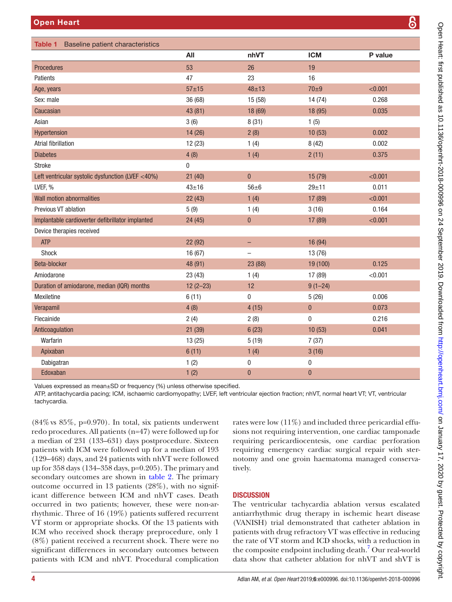<span id="page-3-0"></span>

| <b>Open Heart</b>                                 |              |              |             |         |  |
|---------------------------------------------------|--------------|--------------|-------------|---------|--|
| Table 1 Baseline patient characteristics          |              |              |             |         |  |
|                                                   | All          | nhVT         | <b>ICM</b>  | P value |  |
| <b>Procedures</b>                                 | 53           | 26           | 19          |         |  |
| Patients                                          | 47           | 23           | 16          |         |  |
| Age, years                                        | $57 + 15$    | $48 + 13$    | $70\pm9$    | < 0.001 |  |
| Sex: male                                         | 36 (68)      | 15 (58)      | 14 (74)     | 0.268   |  |
| Caucasian                                         | 43 (81)      | 18 (69)      | 18 (95)     | 0.035   |  |
| Asian                                             | 3(6)         | 8(31)        | 1(5)        |         |  |
| <b>Hypertension</b>                               | 14 (26)      | 2(8)         | 10(53)      | 0.002   |  |
| <b>Atrial fibrillation</b>                        | 12(23)       | 1(4)         | 8(42)       | 0.002   |  |
| <b>Diabetes</b>                                   | 4(8)         | 1(4)         | 2(11)       | 0.375   |  |
| Stroke                                            | 0            |              |             |         |  |
| Left ventricular systolic dysfunction (LVEF <40%) | 21(40)       | $\mathbf{0}$ | 15 (79)     | < 0.001 |  |
| LVEF, %                                           | $43 + 16$    | $56 + 6$     | $29 + 11$   | 0.011   |  |
| <b>Wall motion abnormalities</b>                  | 22(43)       | 1(4)         | 17 (89)     | < 0.001 |  |
| Previous VT ablation                              | 5(9)         | 1(4)         | 3(16)       | 0.164   |  |
| Implantable cardioverter defibrillator implanted  | 24(45)       | $\mathbf{0}$ | 17 (89)     | < 0.001 |  |
| Device therapies received                         |              |              |             |         |  |
| <b>ATP</b>                                        | 22 (92)      |              | 16 (94)     |         |  |
| Shock                                             | 16 (67)      | -            | 13 (76)     |         |  |
| Beta-blocker                                      | 48 (91)      | 23 (88)      | 19 (100)    | 0.125   |  |
| Amiodarone                                        | 23 (43)      | 1(4)         | 17 (89)     | < 0.001 |  |
| Duration of amiodarone, median (IQR) months       | $12(2 - 23)$ | 12           | $9(1 - 24)$ |         |  |
| <b>Mexiletine</b>                                 | 6(11)        | 0            | 5(26)       | 0.006   |  |
|                                                   |              |              |             |         |  |

Values expressed as mean±SD or frequency (%) unless otherwise specified.

ATP, antitachycardia pacing; ICM, ischaemic cardiomyopathy; LVEF, left ventricular ejection fraction; nhVT, normal heart VT; VT, ventricular tachycardia.

Verapamil 4 (8) 4 (15) 0 0.073 Flecainide 2 (4) 2 (8) 0 0.216 Anticoagulation 21 (39) 6 (23) 10 (53) 0.041

Warfarin 13 (25) 5 (19) 7 (37) Apixaban 6 (11) 1 (4) 3 (16) Dabigatran 1 (2) 0 0 Edoxaban 1 (2) 0 0

 $(84\% \text{ vs } 85\%, \text{ p=0.970}).$  In total, six patients underwent redo procedures. All patients (n=47) were followed up for a median of 231 (133–631) days postprocedure. Sixteen patients with ICM were followed up for a median of 193 (129–468) days, and 24 patients with nhVT were followed up for 358 days (134–358 days, p=0.205). The primary and secondary outcomes are shown in [table](#page-4-0) 2. The primary outcome occurred in 13 patients (28%), with no significant difference between ICM and nhVT cases. Death occurred in two patients; however, these were non-arrhythmic. Three of 16 (19%) patients suffered recurrent VT storm or appropriate shocks. Of the 13 patients with ICM who received shock therapy preprocedure, only 1 (8%) patient received a recurrent shock. There were no significant differences in secondary outcomes between patients with ICM and nhVT. Procedural complication

rates were low (11%) and included three pericardial effusions not requiring intervention, one cardiac tamponade requiring pericardiocentesis, one cardiac perforation requiring emergency cardiac surgical repair with sternotomy and one groin haematoma managed conservatively.

# **DISCUSSION**

The ventricular tachycardia ablation versus escalated antiarrhythmic drug therapy in ischemic heart disease (VANISH) trial demonstrated that catheter ablation in patients with drug refractory VT was effective in reducing the rate of VT storm and ICD shocks, with a reduction in the composite endpoint including death.<sup>7</sup> Our real-world data show that catheter ablation for nhVT and shVT is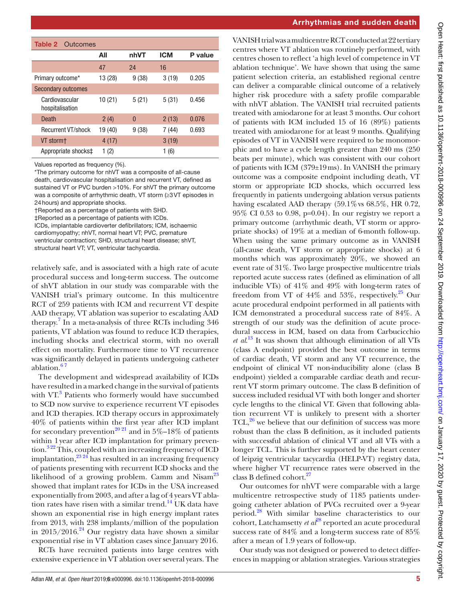<span id="page-4-0"></span>

| <b>Table 2</b> Outcomes           |         |          |            |         |  |  |  |
|-----------------------------------|---------|----------|------------|---------|--|--|--|
|                                   | All     | nhVT     | <b>ICM</b> | P value |  |  |  |
|                                   | 47      | 24       | 16         |         |  |  |  |
| Primary outcome*                  | 13 (28) | 9(38)    | 3(19)      | 0.205   |  |  |  |
| <b>Secondary outcomes</b>         |         |          |            |         |  |  |  |
| Cardiovascular<br>hospitalisation | 10(21)  | 5(21)    | 5(31)      | 0.456   |  |  |  |
| Death                             | 2(4)    | $\Omega$ | 2(13)      | 0.076   |  |  |  |
| <b>Recurrent VT/shock</b>         | 19 (40) | 9(38)    | 7(44)      | 0.693   |  |  |  |
| VT storm+                         | 4 (17)  |          | 3(19)      |         |  |  |  |
| Appropriate shocks‡               | (2)     |          | (6)<br>1   |         |  |  |  |

Values reported as frequency (%).

\*The primary outcome for nhVT was a composite of all-cause death, cardiovascular hospitalisation and recurrent VT, defined as sustained VT or PVC burden >10%. For shVT the primary outcome was a composite of arrhythmic death, VT storm (≥3VT episodes in 24hours) and appropriate shocks.

†Reported as a percentage of patients with SHD.

‡Reported as a percentage of patients with ICDs.

ICDs, implantable cardioverter defibrillators; ICM, ischaemic

cardiomyopathy; nhVT, normal heart VT; PVC, premature

ventricular contraction; SHD, structural heart disease; shVT,

structural heart VT; VT, ventricular tachycardia.

relatively safe, and is associated with a high rate of acute procedural success and long-term success. The outcome of shVT ablation in our study was comparable with the VANISH trial's primary outcome. In this multicentre RCT of 259 patients with ICM and recurrent VT despite AAD therapy, VT ablation was superior to escalating AAD therapy.<sup>7</sup> In a meta-analysis of three RCTs including 346 patients, VT ablation was found to reduce ICD therapies, including shocks and electrical storm, with no overall effect on mortality. Furthermore time to VT recurrence was significantly delayed in patients undergoing catheter ablation.<sup>67</sup>

The development and widespread availability of ICDs have resulted in a marked change in the survival of patients with VT.<sup>[3](#page-6-0)</sup> Patients who formerly would have succumbed to SCD now survive to experience recurrent VT episodes and ICD therapies. ICD therapy occurs in approximately 40% of patients within the first year after ICD implant for secondary prevention<sup>[20 21](#page-6-11)</sup> and in 5%–18% of patients within 1year after ICD implantation for primary prevention.<sup>322</sup> This, coupled with an increasing frequency of ICD implantation,  $^{23.24}$  has resulted in an increasing frequency of patients presenting with recurrent ICD shocks and the likelihood of a growing problem. Camm and Nisam<sup>23</sup> showed that implant rates for ICDs in the USA increased exponentially from 2003, and after a lag of 4 years VT ablation rates have risen with a similar trend.<sup>14</sup> UK data have shown an exponential rise in high energy implant rates from 2013, with 238 implants/million of the population in  $2015/2016.^{24}$  Our registry data have shown a similar exponential rise in VT ablation cases since January 2016.

RCTs have recruited patients into large centres with extensive experience in VT ablation over several years. The

#### Arrhythmias and sudden death

VANISH trial was a multicentre RCT conducted at 22 tertiary centres where VT ablation was routinely performed, with centres chosen to reflect 'a high level of competence in VT ablation technique'. We have shown that using the same patient selection criteria, an established regional centre can deliver a comparable clinical outcome of a relatively higher risk procedure with a safety profile comparable with nhVT ablation. The VANISH trial recruited patients treated with amiodarone for at least 3 months. Our cohort of patients with ICM included 15 of 16 (89%) patients treated with amiodarone for at least 9 months. Qualifying episodes of VT in VANISH were required to be monomorphic and to have a cycle length greater than 240 ms (250 beats per minute), which was consistent with our cohort of patients with ICM (379±19ms). In VANISH the primary outcome was a composite endpoint including death, VT storm or appropriate ICD shocks, which occurred less frequently in patients undergoing ablation versus patients having escalated AAD therapy  $(59.1\% \text{ vs } 68.5\%, \text{ HR } 0.72,$ 95% CI 0.53 to 0.98, p=0.04). In our registry we report a primary outcome (arrhythmic death, VT storm or appropriate shocks) of 19% at a median of 6-month follow-up. When using the same primary outcome as in VANISH (all-cause death, VT storm or appropriate shocks) at 6 months which was approximately 20%, we showed an event rate of 31%. Two large prospective multicentre trials reported acute success rates (defined as elimination of all inducible VTs) of 41% and 49% with long-term rates of freedom from VT of  $44\%$  and  $53\%$ , respectively.<sup>25</sup> Our acute procedural endpoint performed in all patients with ICM demonstrated a procedural success rate of 84%. A strength of our study was the definition of acute procedural success in ICM, based on data from Carbucicchio *et al*. [13](#page-6-5) It was shown that although elimination of all VTs (class A endpoint) provided the best outcome in terms of cardiac death, VT storm and any VT recurrence, the endpoint of clinical VT non-inducibility alone (class B endpoint) yielded a comparable cardiac death and recurrent VT storm primary outcome. The class B definition of success included residual VT with both longer and shorter cycle lengths to the clinical VT. Given that following ablation recurrent VT is unlikely to present with a shorter TCL, $^{26}$  $^{26}$  $^{26}$  we believe that our definition of success was more robust than the class B definition, as it included patients with successful ablation of clinical VT and all VTs with a longer TCL. This is further supported by the heart center of leipzig ventricular tacycardia (HELP-VT) registry data, where higher VT recurrence rates were observed in the class B defined cohort.<sup>27</sup>

Our outcomes for nhVT were comparable with a large multicentre retrospective study of 1185 patients undergoing catheter ablation of PVCs recruited over a 9-year period[.28](#page-6-18) With similar baseline characteristics to our cohort, Latchamsetty *et al*<sup>28</sup> reported an acute procedural success rate of 84% and a long-term success rate of 85% after a mean of 1.9 years of follow-up.

Our study was not designed or powered to detect differences in mapping or ablation strategies. Various strategies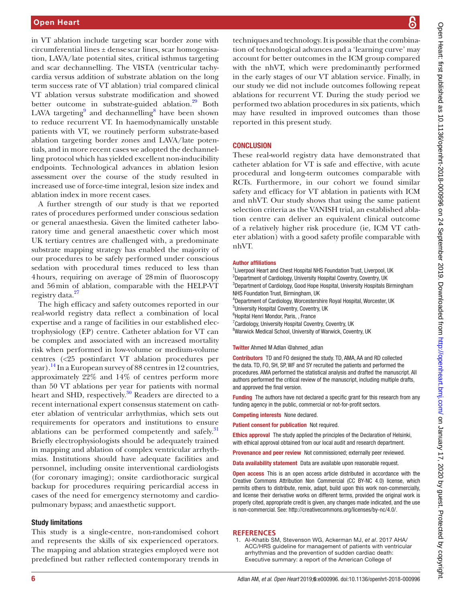in VT ablation include targeting scar border zone with  $circumferential lines  $±$  dense scar lines, scar homogeneous$ tion, LAVA/late potential sites, critical isthmus targeting and scar dechannelling. The VISTA (ventricular tachycardia versus addition of substrate ablation on the long term success rate of VT ablation) trial compared clinical VT ablation versus substrate modification and showed better outcome in substrate-guided ablation.<sup>29</sup> Both LAVA targeting<sup>9</sup> and dechannelling<sup>8</sup> have been shown to reduce recurrent VT. In haemodynamically unstable patients with VT, we routinely perform substrate-based ablation targeting border zones and LAVA/late potentials, and in more recent cases we adopted the dechannelling protocol which has yielded excellent non-inducibility endpoints. Technological advances in ablation lesion assessment over the course of the study resulted in increased use of force-time integral, lesion size index and ablation index in more recent cases.

A further strength of our study is that we reported rates of procedures performed under conscious sedation or general anaesthesia. Given the limited catheter laboratory time and general anaesthetic cover which most UK tertiary centres are challenged with, a predominate substrate mapping strategy has enabled the majority of our procedures to be safely performed under conscious sedation with procedural times reduced to less than 4hours, requiring on average of 28min of fluoroscopy and 56min of ablation, comparable with the HELP-VT registry data.<sup>[27](#page-6-17)</sup>

The high efficacy and safety outcomes reported in our real-world registry data reflect a combination of local expertise and a range of facilities in our established electrophysiology (EP) centre. Catheter ablation for VT can be complex and associated with an increased mortality risk when performed in low-volume or medium-volume centres (<25 postinfarct VT ablation procedures per year).<sup>14</sup> In a European survey of 88 centres in 12 countries, approximately 22% and 14% of centres perform more than 50 VT ablations per year for patients with normal heart and SHD, respectively.<sup>[30](#page-6-21)</sup> Readers are directed to a recent international expert consensus statement on catheter ablation of ventricular arrhythmias, which sets out requirements for operators and institutions to ensure ablations can be performed competently and safely.<sup>[31](#page-6-22)</sup> Briefly electrophysiologists should be adequately trained in mapping and ablation of complex ventricular arrhythmias. Institutions should have adequate facilities and personnel, including onsite interventional cardiologists (for coronary imaging); onsite cardiothoracic surgical backup for procedures requiring pericardial access in cases of the need for emergency sternotomy and cardiopulmonary bypass; and anaesthetic support.

## Study limitations

This study is a single-centre, non-randomised cohort and represents the skills of six experienced operators. The mapping and ablation strategies employed were not predefined but rather reflected contemporary trends in

techniques and technology. It is possible that the combination of technological advances and a 'learning curve' may account for better outcomes in the ICM group compared with the nhVT, which were predominantly performed in the early stages of our VT ablation service. Finally, in our study we did not include outcomes following repeat ablations for recurrent VT. During the study period we performed two ablation procedures in six patients, which may have resulted in improved outcomes than those reported in this present study.

### **CONCLUSION**

These real-world registry data have demonstrated that catheter ablation for VT is safe and effective, with acute procedural and long-term outcomes comparable with RCTs. Furthermore, in our cohort we found similar safety and efficacy for VT ablation in patients with ICM and nhVT. Our study shows that using the same patient selection criteria as the VANISH trial, an established ablation centre can deliver an equivalent clinical outcome of a relatively higher risk procedure (ie, ICM VT catheter ablation) with a good safety profile comparable with nhVT.

#### Author affiliations

<sup>1</sup> Liverpool Heart and Chest Hospital NHS Foundation Trust, Liverpool, UK <sup>2</sup>Department of Cardiology, University Hospital Coventry, Coventry, UK <sup>3</sup>Department of Cardiology, Good Hope Hospital, University Hospitals Birmingham NHS Foundation Trust, Birmingham, UK 4 Department of Cardiology, Worcestershire Royal Hospital, Worcester, UK 5 University Hospital Coventry, Coventry, UK 6 Hopital Henri Mondor, Paris, , France <sup>7</sup> Cardiology, University Hospital Coventry, Coventry, UK <sup>8</sup>Warwick Medical School, University of Warwick, Coventry, UK

#### Twitter Ahmed M Adlan [@ahmed\\_adlan](https://twitter.com/ahmed_adlan)

Contributors TD and FO designed the study. TD, AMA, AA and RD collected the data. TD, FO, SH, SP, WF and SY recruited the patients and performed the procedures. AMA performed the statistical analysis and drafted the manuscript. All authors performed the critical review of the manuscript, including multiple drafts, and approved the final version.

Funding The authors have not declared a specific grant for this research from any funding agency in the public, commercial or not-for-profit sectors.

Competing interests None declared.

Patient consent for publication Not required.

Ethics approval The study applied the principles of the Declaration of Helsinki, with ethical approval obtained from our local audit and research department.

Provenance and peer review Not commissioned; externally peer reviewed.

Data availability statement Data are available upon reasonable request.

Open access This is an open access article distributed in accordance with the Creative Commons Attribution Non Commercial (CC BY-NC 4.0) license, which permits others to distribute, remix, adapt, build upon this work non-commercially, and license their derivative works on different terms, provided the original work is properly cited, appropriate credit is given, any changes made indicated, and the use is non-commercial. See: [http://creativecommons.org/licenses/by-nc/4.0/.](http://creativecommons.org/licenses/by-nc/4.0/)

#### **References**

<span id="page-5-0"></span>1. Al-Khatib SM, Stevenson WG, Ackerman MJ, *et al*. 2017 AHA/ ACC/HRS guideline for management of patients with ventricular arrhythmias and the prevention of sudden cardiac death: Executive summary: a report of the American College of